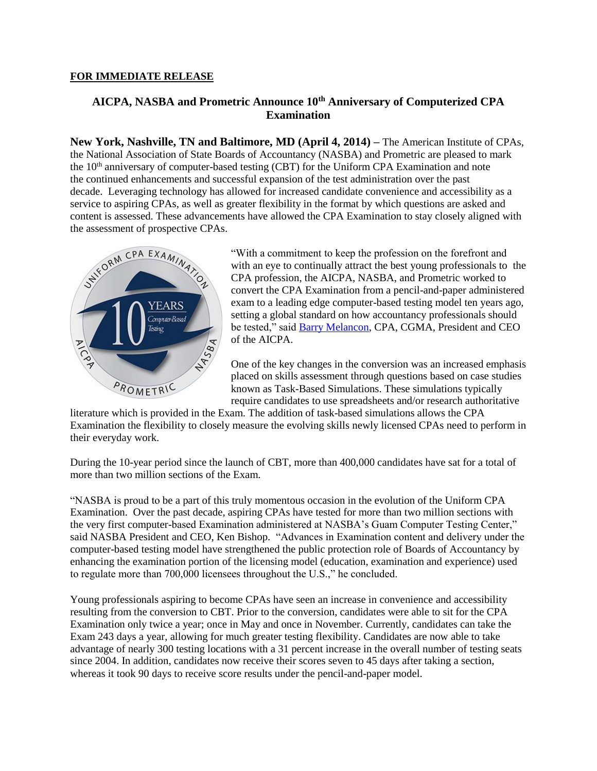#### **FOR IMMEDIATE RELEASE**

# **AICPA, NASBA and Prometric Announce 10th Anniversary of Computerized CPA Examination**

**New York, Nashville, TN and Baltimore, MD (April 4, 2014) –** The American Institute of CPAs, the National Association of State Boards of Accountancy (NASBA) and Prometric are pleased to mark the  $10<sup>th</sup>$  anniversary of computer-based testing (CBT) for the Uniform CPA Examination and note the continued enhancements and successful expansion of the test administration over the past decade. Leveraging technology has allowed for increased candidate convenience and accessibility as a service to aspiring CPAs, as well as greater flexibility in the format by which questions are asked and content is assessed. These advancements have allowed the CPA Examination to stay closely aligned with the assessment of prospective CPAs.



"With a commitment to keep the profession on the forefront and with an eye to continually attract the best young professionals to the CPA profession, the AICPA, NASBA, and Prometric worked to convert the CPA Examination from a pencil-and-paper administered exam to a leading edge computer-based testing model ten years ago, setting a global standard on how accountancy professionals should be tested," said [Barry Melancon,](http://www.aicpa.org/About/Leadership/Pages/Melancon_Bio.aspx) CPA, CGMA, President and CEO of the AICPA.

One of the key changes in the conversion was an increased emphasis placed on skills assessment through questions based on case studies known as Task-Based Simulations. These simulations typically require candidates to use spreadsheets and/or research authoritative

literature which is provided in the Exam. The addition of task-based simulations allows the CPA Examination the flexibility to closely measure the evolving skills newly licensed CPAs need to perform in their everyday work.

During the 10-year period since the launch of CBT, more than 400,000 candidates have sat for a total of more than two million sections of the Exam.

"NASBA is proud to be a part of this truly momentous occasion in the evolution of the Uniform CPA Examination. Over the past decade, aspiring CPAs have tested for more than two million sections with the very first computer-based Examination administered at NASBA's Guam Computer Testing Center," said NASBA President and CEO, Ken Bishop. "Advances in Examination content and delivery under the computer-based testing model have strengthened the public protection role of Boards of Accountancy by enhancing the examination portion of the licensing model (education, examination and experience) used to regulate more than 700,000 licensees throughout the U.S.," he concluded.

Young professionals aspiring to become CPAs have seen an increase in convenience and accessibility resulting from the conversion to CBT. Prior to the conversion, candidates were able to sit for the CPA Examination only twice a year; once in May and once in November. Currently, candidates can take the Exam 243 days a year, allowing for much greater testing flexibility. Candidates are now able to take advantage of nearly 300 testing locations with a 31 percent increase in the overall number of testing seats since 2004. In addition, candidates now receive their scores seven to 45 days after taking a section, whereas it took 90 days to receive score results under the pencil-and-paper model.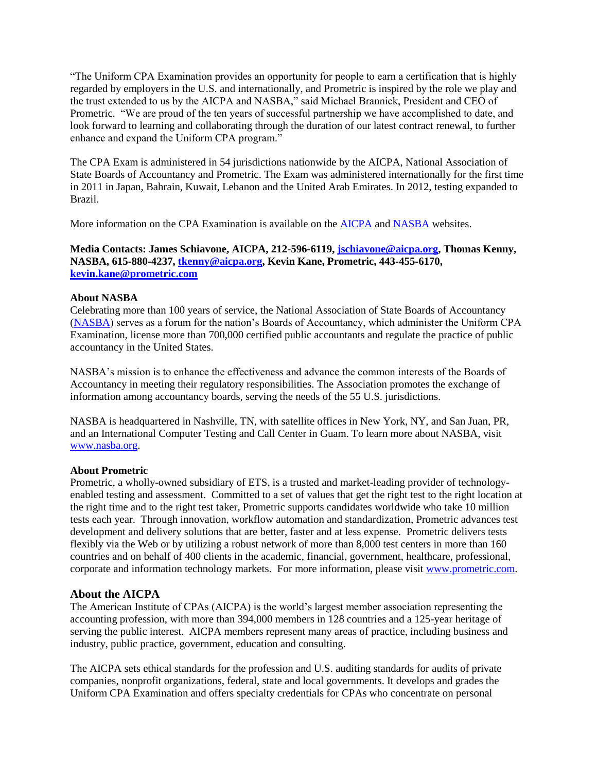"The Uniform CPA Examination provides an opportunity for people to earn a certification that is highly regarded by employers in the U.S. and internationally, and Prometric is inspired by the role we play and the trust extended to us by the AICPA and NASBA," said Michael Brannick, President and CEO of Prometric. "We are proud of the ten years of successful partnership we have accomplished to date, and look forward to learning and collaborating through the duration of our latest contract renewal, to further enhance and expand the Uniform CPA program."

The CPA Exam is administered in 54 jurisdictions nationwide by the AICPA, National Association of State Boards of Accountancy and Prometric. The Exam was administered internationally for the first time in 2011 in Japan, Bahrain, Kuwait, Lebanon and the United Arab Emirates. In 2012, testing expanded to Brazil.

More information on the CPA Examination is available on the **AICPA** and **NASBA** websites.

## **Media Contacts: James Schiavone, AICPA, 212-596-6119, [jschiavone@aicpa.org,](mailto:jschiavone@aicpa.org) Thomas Kenny, NASBA, 615-880-4237[, tkenny@aicpa.org,](mailto:tkenny@aicpa.org) Kevin Kane, Prometric, 443-455-6170, [kevin.kane@prometric.com](mailto:kevin.kane@prometric.com)**

### **About NASBA**

Celebrating more than 100 years of service, the National Association of State Boards of Accountancy [\(NASBA\)](http://www.nasba.org/) serves as a forum for the nation's Boards of Accountancy, which administer the Uniform CPA Examination, license more than 700,000 certified public accountants and regulate the practice of public accountancy in the United States.

NASBA's mission is to enhance the effectiveness and advance the common interests of the Boards of Accountancy in meeting their regulatory responsibilities. The Association promotes the exchange of information among accountancy boards, serving the needs of the 55 U.S. jurisdictions.

NASBA is headquartered in Nashville, TN, with satellite offices in New York, NY, and San Juan, PR, and an International Computer Testing and Call Center in Guam. To learn more about NASBA, visit [www.nasba.org.](http://www.nasba.org/)

### **About Prometric**

Prometric, a wholly-owned subsidiary of ETS, is a trusted and market-leading provider of technologyenabled testing and assessment. Committed to a set of values that get the right test to the right location at the right time and to the right test taker, Prometric supports candidates worldwide who take 10 million tests each year. Through innovation, workflow automation and standardization, Prometric advances test development and delivery solutions that are better, faster and at less expense. Prometric delivers tests flexibly via the Web or by utilizing a robust network of more than 8,000 test centers in more than 160 countries and on behalf of 400 clients in the academic, financial, government, healthcare, professional, corporate and information technology markets. For more information, please visit [www.prometric.com.](http://www.prometric.com/)

## **About the AICPA**

The American Institute of CPAs (AICPA) is the world's largest member association representing the accounting profession, with more than 394,000 members in 128 countries and a 125-year heritage of serving the public interest. AICPA members represent many areas of practice, including business and industry, public practice, government, education and consulting.

The AICPA sets ethical standards for the profession and U.S. auditing standards for audits of private companies, nonprofit organizations, federal, state and local governments. It develops and grades the Uniform CPA Examination and offers specialty credentials for CPAs who concentrate on personal